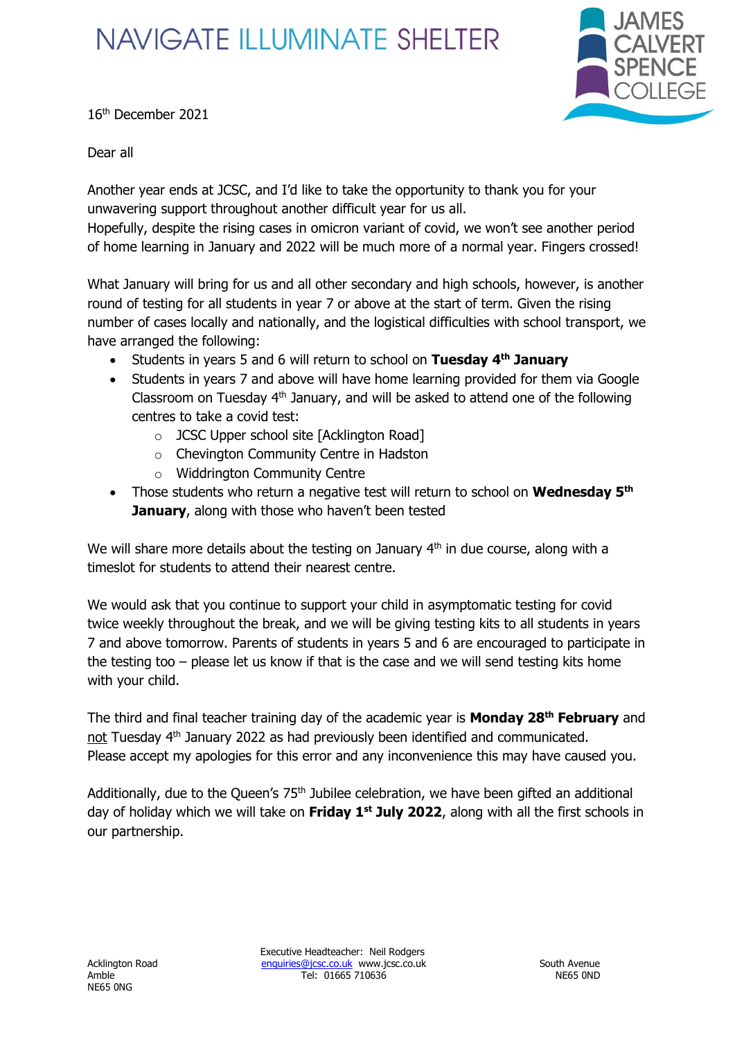## **NAVIGATE ILLUMINATE SHELTER**



16 th December 2021

Dear all

Another year ends at JCSC, and I'd like to take the opportunity to thank you for your unwavering support throughout another difficult year for us all.

Hopefully, despite the rising cases in omicron variant of covid, we won't see another period of home learning in January and 2022 will be much more of a normal year. Fingers crossed!

What January will bring for us and all other secondary and high schools, however, is another round of testing for all students in year 7 or above at the start of term. Given the rising number of cases locally and nationally, and the logistical difficulties with school transport, we have arranged the following:

- Students in years 5 and 6 will return to school on **Tuesday 4th January**
- Students in years 7 and above will have home learning provided for them via Google Classroom on Tuesday  $4<sup>th</sup>$  January, and will be asked to attend one of the following centres to take a covid test:
	- o JCSC Upper school site [Acklington Road]
	- o Chevington Community Centre in Hadston
	- o Widdrington Community Centre
- Those students who return a negative test will return to school on **Wednesday 5th January**, along with those who haven't been tested

We will share more details about the testing on January 4<sup>th</sup> in due course, along with a timeslot for students to attend their nearest centre.

We would ask that you continue to support your child in asymptomatic testing for covid twice weekly throughout the break, and we will be giving testing kits to all students in years 7 and above tomorrow. Parents of students in years 5 and 6 are encouraged to participate in the testing too – please let us know if that is the case and we will send testing kits home with your child.

The third and final teacher training day of the academic year is **Monday 28th February** and not Tuesday 4<sup>th</sup> January 2022 as had previously been identified and communicated. Please accept my apologies for this error and any inconvenience this may have caused you.

Additionally, due to the Queen's  $75<sup>th</sup>$  Jubilee celebration, we have been gifted an additional day of holiday which we will take on **Friday 1st July 2022**, along with all the first schools in our partnership.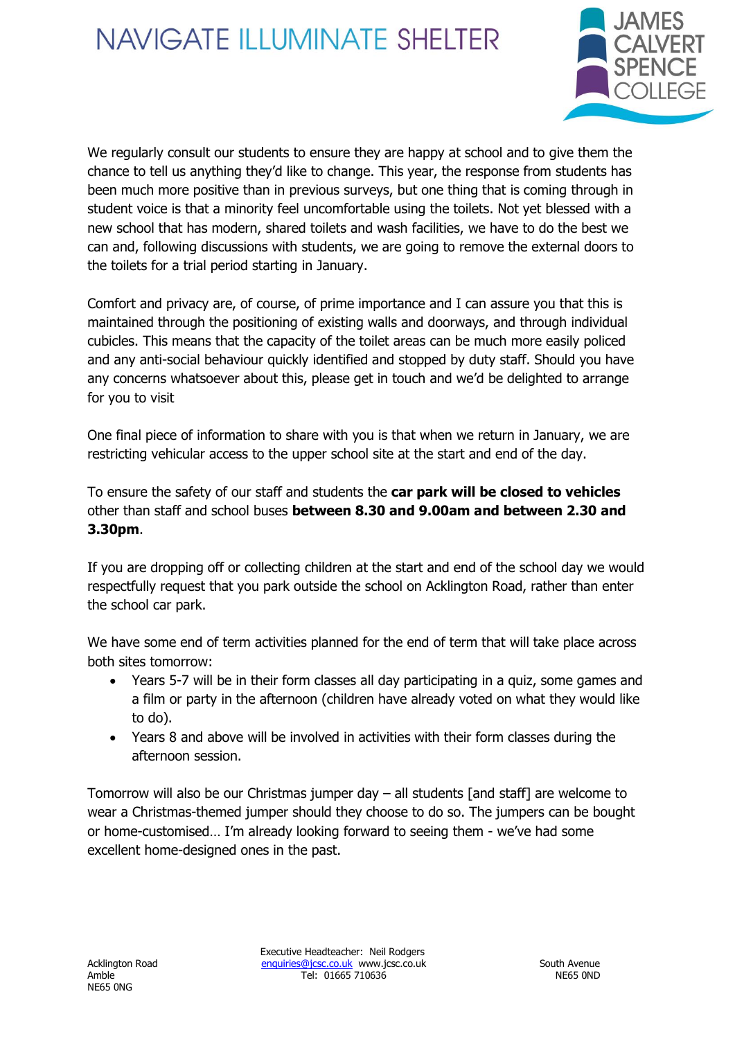## **NAVIGATE ILLUMINATE SHELTER**



We regularly consult our students to ensure they are happy at school and to give them the chance to tell us anything they'd like to change. This year, the response from students has been much more positive than in previous surveys, but one thing that is coming through in student voice is that a minority feel uncomfortable using the toilets. Not yet blessed with a new school that has modern, shared toilets and wash facilities, we have to do the best we can and, following discussions with students, we are going to remove the external doors to the toilets for a trial period starting in January.

Comfort and privacy are, of course, of prime importance and I can assure you that this is maintained through the positioning of existing walls and doorways, and through individual cubicles. This means that the capacity of the toilet areas can be much more easily policed and any anti-social behaviour quickly identified and stopped by duty staff. Should you have any concerns whatsoever about this, please get in touch and we'd be delighted to arrange for you to visit

One final piece of information to share with you is that when we return in January, we are restricting vehicular access to the upper school site at the start and end of the day.

To ensure the safety of our staff and students the **car park will be closed to vehicles** other than staff and school buses **between 8.30 and 9.00am and between 2.30 and 3.30pm**.

If you are dropping off or collecting children at the start and end of the school day we would respectfully request that you park outside the school on Acklington Road, rather than enter the school car park.

We have some end of term activities planned for the end of term that will take place across both sites tomorrow:

- Years 5-7 will be in their form classes all day participating in a quiz, some games and a film or party in the afternoon (children have already voted on what they would like to do).
- Years 8 and above will be involved in activities with their form classes during the afternoon session.

Tomorrow will also be our Christmas jumper day – all students [and staff] are welcome to wear a Christmas-themed jumper should they choose to do so. The jumpers can be bought or home-customised… I'm already looking forward to seeing them - we've had some excellent home-designed ones in the past.